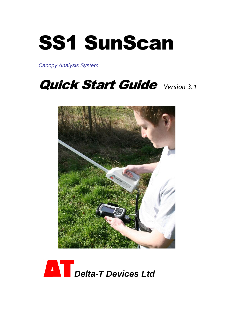## SS1 SunScan

*Canopy Analysis System*

## Quick Start Guide *Version 3.1*



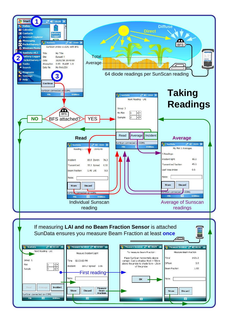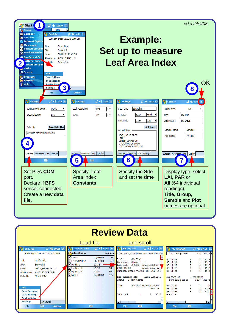

| <b>Review Data</b>                                                                                                                                                                                                                                                                             |                                                                                        |                                                                                                                            |                                                                                                                                                                                                                                                                                                                                                                                             |                                                                                                                                                                                       |                                                                                                                                          |                                                                                   |
|------------------------------------------------------------------------------------------------------------------------------------------------------------------------------------------------------------------------------------------------------------------------------------------------|----------------------------------------------------------------------------------------|----------------------------------------------------------------------------------------------------------------------------|---------------------------------------------------------------------------------------------------------------------------------------------------------------------------------------------------------------------------------------------------------------------------------------------------------------------------------------------------------------------------------------------|---------------------------------------------------------------------------------------------------------------------------------------------------------------------------------------|------------------------------------------------------------------------------------------------------------------------------------------|-----------------------------------------------------------------------------------|
|                                                                                                                                                                                                                                                                                                | Load file                                                                              |                                                                                                                            | and scroll                                                                                                                                                                                                                                                                                                                                                                                  |                                                                                                                                                                                       |                                                                                                                                          |                                                                                   |
| 2 46 10:22 X<br><b>SunData</b>                                                                                                                                                                                                                                                                 | <b>Load Data file</b><br><b>HET</b>                                                    | $22 \le 17:18$ ok                                                                                                          | $22 \le 17:13$ ok<br>My First.CSV                                                                                                                                                                                                                                                                                                                                                           | HE<br><b>My First.CSV</b>                                                                                                                                                             |                                                                                                                                          | $22$ $45$ 17:14 ok                                                                |
| SunScan probe v1.02R, with BFS                                                                                                                                                                                                                                                                 | All Folders +                                                                          | Name $\rightarrow$                                                                                                         | Created by SunData for Windows NA                                                                                                                                                                                                                                                                                                                                                           | SunScan probe:                                                                                                                                                                        |                                                                                                                                          | $13.8$ BFS $1$ <sup><math>\triangle</math></sup>                                  |
| Nick's Title<br>Title<br><b>Burwell II</b><br>Site<br>10/01/08 10:23:53<br>Date<br>0.95 ELADP 1.9<br>Absorption<br>Nick 1.CSV<br>Data file<br>Exit<br><b>Save Settings</b><br><b>Load Settings</b><br><b>Review Data</b><br><b>Settings</b><br>on COM1<br>圏<br><b>Utilities</b><br><b>File</b> | al Data 1<br>al Ed-testMElex1<br>all My First<br>My First b<br>My First c<br>an Nick 1 | 18k<br>02/03/06<br>5k<br>06/03/08<br>17:12<br>50 <sub>b</sub><br>11:13<br>50 <sub>b</sub><br>11:19<br>29k<br>07/01/08<br>圏 | Ħ<br>Title<br>:My Title<br>Location :Burwell !!<br>Latitude :52.0N Longitu0.06E<br>2008-01-10<br>Local time is $W$<br>SunScan probe v1.02R (C) JGW 200<br>Ext. Sensor: BES<br>Leaf Angle I<br>2 :My Group<br>Group<br>Time<br>My PlotMy SampTrans-<br>mitted<br>10:41:49<br>35.3<br>1.<br>$1 -$<br>ı.<br>$\overline{4}$<br>$\overline{m}$<br>$\overline{\phantom{a}}$<br><b>PHS</b><br>File | 05:11:14<br>05:11:16<br>05:11:17<br>05:11:19<br>105:11:21<br>Average of<br>SunScan probe:<br>05:12:34<br>05:12:36<br>05:12:38<br>$-$ end $-$<br>$\overline{\phantom{a}}$<br>圏<br>File | 1<br>$\overline{a}$<br>$\overline{2}$<br>$\overline{\mathbf{3}}$<br>$\overline{2}$<br>4<br>s<br>5 readings<br>3.<br>$\overline{2}$<br>s. | 13.4<br>13.3<br>13.3<br>13.3<br>13.3<br>13.3 BFS 1<br>13<br>12.8<br>$12.7 -$<br>× |